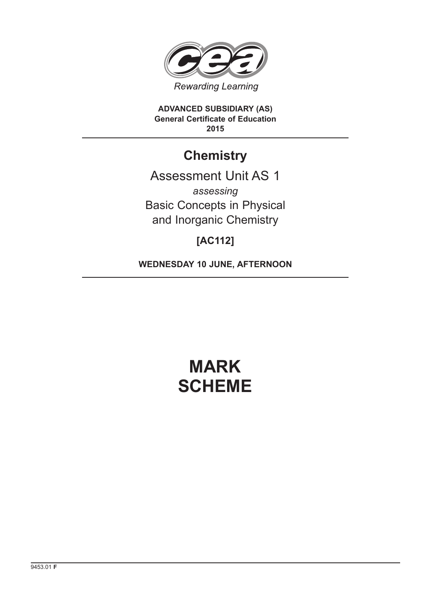

**ADVANCED SUBSIDIARY (AS) General Certificate of Education 2015**

## **Chemistry**

Assessment Unit AS 1 *assessing* Basic Concepts in Physical and Inorganic Chemistry

### **[AC112]**

**WEDNESDAY 10 JUNE, AFTERNOON**

# **MARK SCHEME**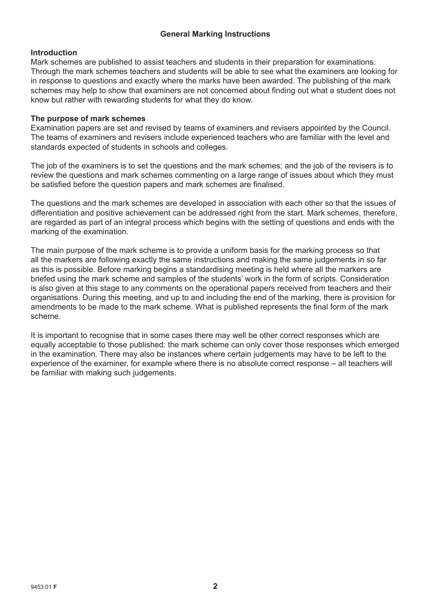#### **General Marking Instructions**

#### **Introduction**

Mark schemes are published to assist teachers and students in their preparation for examinations. Through the mark schemes teachers and students will be able to see what the examiners are looking for in response to questions and exactly where the marks have been awarded. The publishing of the mark schemes may help to show that examiners are not concerned about finding out what a student does not know but rather with rewarding students for what they do know.

#### **The purpose of mark schemes**

Examination papers are set and revised by teams of examiners and revisers appointed by the Council. The teams of examiners and revisers include experienced teachers who are familiar with the level and standards expected of students in schools and colleges.

The job of the examiners is to set the questions and the mark schemes; and the job of the revisers is to review the questions and mark schemes commenting on a large range of issues about which they must be satisfied before the question papers and mark schemes are finalised.

The questions and the mark schemes are developed in association with each other so that the issues of differentiation and positive achievement can be addressed right from the start. Mark schemes, therefore, are regarded as part of an integral process which begins with the setting of questions and ends with the marking of the examination.

The main purpose of the mark scheme is to provide a uniform basis for the marking process so that all the markers are following exactly the same instructions and making the same judgements in so far as this is possible. Before marking begins a standardising meeting is held where all the markers are briefed using the mark scheme and samples of the students' work in the form of scripts. Consideration is also given at this stage to any comments on the operational papers received from teachers and their organisations. During this meeting, and up to and including the end of the marking, there is provision for amendments to be made to the mark scheme. What is published represents the final form of the mark scheme.

It is important to recognise that in some cases there may well be other correct responses which are equally acceptable to those published: the mark scheme can only cover those responses which emerged in the examination. There may also be instances where certain judgements may have to be left to the experience of the examiner, for example where there is no absolute correct response – all teachers will be familiar with making such judgements.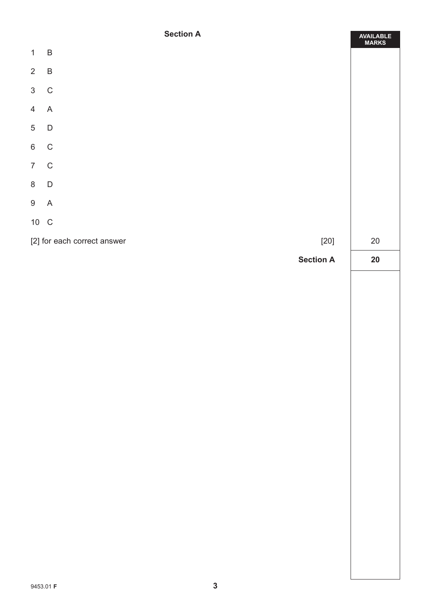#### **Section A**

|                 | <b>Section A</b>                      | AVAILABLE<br>MARKS |
|-----------------|---------------------------------------|--------------------|
| $\mathbf{1}$    | $\overline{B}$                        |                    |
| $2 \quad B$     |                                       |                    |
| $3\quad C$      |                                       |                    |
| $\overline{4}$  | $\mathsf A$                           |                    |
| $5\phantom{.0}$ | $\overline{D}$                        |                    |
| 6 C             |                                       |                    |
| $7\quad C$      |                                       |                    |
| 8 D             |                                       |                    |
| 9 A             |                                       |                    |
| 10 C            |                                       |                    |
|                 | [2] for each correct answer<br>$[20]$ | $20\,$             |
|                 | <b>Section A</b>                      | ${\bf 20}$         |
|                 |                                       |                    |
|                 |                                       |                    |
|                 |                                       |                    |
|                 |                                       |                    |
|                 |                                       |                    |
|                 |                                       |                    |
|                 |                                       |                    |
|                 |                                       |                    |
|                 |                                       |                    |
|                 |                                       |                    |
|                 |                                       |                    |
|                 |                                       |                    |
|                 |                                       |                    |
|                 |                                       |                    |
|                 |                                       |                    |
|                 |                                       |                    |
|                 |                                       |                    |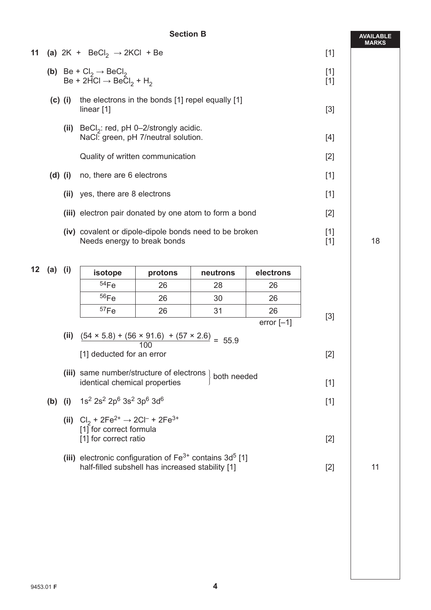#### **Section B**

|    |           |                                  | 11 (a) $2K + BeCl_2 \rightarrow 2KCl + Be$                                                                  |                |          |           | $[1]$          |    |
|----|-----------|----------------------------------|-------------------------------------------------------------------------------------------------------------|----------------|----------|-----------|----------------|----|
|    |           |                                  | (b) Be + $Cl_2 \rightarrow$ BeCl <sub>2</sub><br>Be + 2HCl $\rightarrow$ BeCl <sub>2</sub> + H <sub>2</sub> | $[1]$<br>$[1]$ |          |           |                |    |
|    | $(c)$ (i) |                                  | the electrons in the bonds [1] repel equally [1]<br>linear $[1]$                                            |                |          |           | $[3]$          |    |
|    |           |                                  | (ii) BeCl <sub>2</sub> : red, pH 0-2/strongly acidic.<br>NaCl: green, pH 7/neutral solution.                |                |          |           | [4]            |    |
|    |           | Quality of written communication |                                                                                                             |                |          |           | $[2]$          |    |
|    |           |                                  | (d) (i) no, there are 6 electrons                                                                           |                |          |           | $[1]$          |    |
|    |           | (ii)                             | yes, there are 8 electrons                                                                                  |                |          |           | $[1]$          |    |
|    |           |                                  | (iii) electron pair donated by one atom to form a bond                                                      | $[2]$          |          |           |                |    |
|    |           |                                  | (iv) covalent or dipole-dipole bonds need to be broken<br>Needs energy to break bonds                       |                |          |           | $[1]$<br>$[1]$ | 18 |
| 12 | (a) (i)   |                                  |                                                                                                             |                |          |           |                |    |
|    |           |                                  | isotope                                                                                                     | protons        | neutrons | electrons |                |    |
|    |           |                                  | 54Fe                                                                                                        | 26             | 28       | 26        |                |    |
|    |           |                                  | 56Fe                                                                                                        | 26             | 30       | 26        |                |    |

|     |       | 57Fe                                                                                                    | 26  | 31          | 26           | [3] |
|-----|-------|---------------------------------------------------------------------------------------------------------|-----|-------------|--------------|-----|
|     |       |                                                                                                         |     |             | error $[-1]$ |     |
|     | (ii)  | $\frac{(54 \times 5.8) + (56 \times 91.6) + (57 \times 2.6)}{55.9} = 55.9$                              | 100 |             |              |     |
|     |       | [1] deducted for an error                                                                               |     |             |              | [2] |
|     | (iii) | same number/structure of electrons<br>identical chemical properties                                     |     | both needed |              | [1] |
| (b) | (i)   | $1$ s $^{2}$ 2s $^{2}$ 2p $^{6}$ 3s $^{2}$ 3p $^{6}$ 3d $^{6}$                                          |     |             |              | [1] |
|     |       | (ii) $Cl_2 + 2Fe^{2+} \rightarrow 2Cl^- + 2Fe^{3+}$<br>[1] for correct formula<br>[1] for correct ratio |     |             |              | [2] |
|     |       |                                                                                                         |     |             |              |     |

**(iii)** electronic configuration of Fe<sup>3+</sup> contains 3d<sup>5</sup> [1] half-filled subshell has increased stability [1] [2] 11 [2] 11

**AVAILABLE MARKS**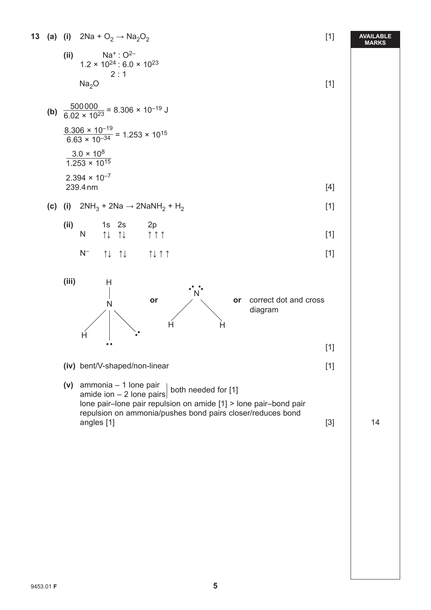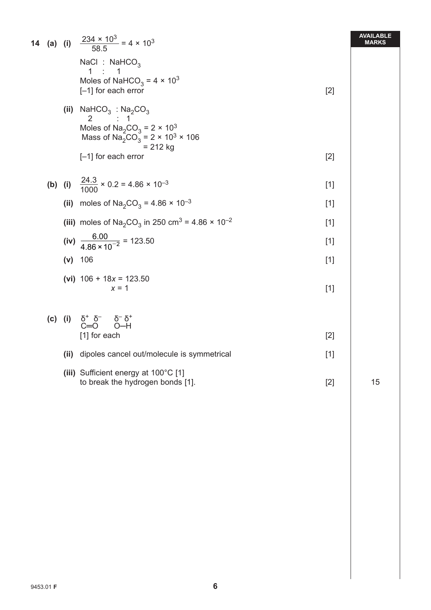|  |      | <b>14</b> (a) (i) $\frac{234 \times 10^3}{58.5} = 4 \times 10^3$                                                                                                             |       | <b>AVAILABLE</b><br><b>MARKS</b> |
|--|------|------------------------------------------------------------------------------------------------------------------------------------------------------------------------------|-------|----------------------------------|
|  |      | NaCl: $NaHCO3$<br>$1 \quad :$<br>1<br>Moles of NaHCO <sub>3</sub> = $4 \times 10^3$<br>$[-1]$ for each error                                                                 | $[2]$ |                                  |
|  |      | (ii) NaHCO <sub>3</sub> : Na <sub>2</sub> CO <sub>3</sub><br>2 : 1<br>Moles of $Na_2CO_3 = 2 \times 10^3$<br>Mass of $Na_2^2CO_3^2 = 2 \times 10^3 \times 106$<br>$= 212$ kg |       |                                  |
|  |      | $[-1]$ for each error                                                                                                                                                        | $[2]$ |                                  |
|  |      | <b>(b)</b> (i) $\frac{24.3}{1000} \times 0.2 = 4.86 \times 10^{-3}$                                                                                                          | $[1]$ |                                  |
|  |      | (ii) moles of $Na_2CO_3 = 4.86 \times 10^{-3}$                                                                                                                               | $[1]$ |                                  |
|  |      | (iii) moles of Na <sub>2</sub> CO <sub>3</sub> in 250 cm <sup>3</sup> = 4.86 $\times$ 10 <sup>-2</sup>                                                                       | $[1]$ |                                  |
|  |      | (iv) $\frac{6.00}{4.86 \times 10^{-2}}$ = 123.50                                                                                                                             | $[1]$ |                                  |
|  |      | $(v)$ 106                                                                                                                                                                    | $[1]$ |                                  |
|  |      | (vi) $106 + 18x = 123.50$<br>$x = 1$                                                                                                                                         | $[1]$ |                                  |
|  |      | (c) (i) $\delta^+ \delta^ \delta^- \delta^+$<br>C=O O-H<br>[1] for each                                                                                                      | $[2]$ |                                  |
|  | (ii) | dipoles cancel out/molecule is symmetrical                                                                                                                                   | $[1]$ |                                  |
|  |      | (iii) Sufficient energy at 100°C [1]<br>to break the hydrogen bonds [1].                                                                                                     | $[2]$ | 15                               |
|  |      |                                                                                                                                                                              |       |                                  |